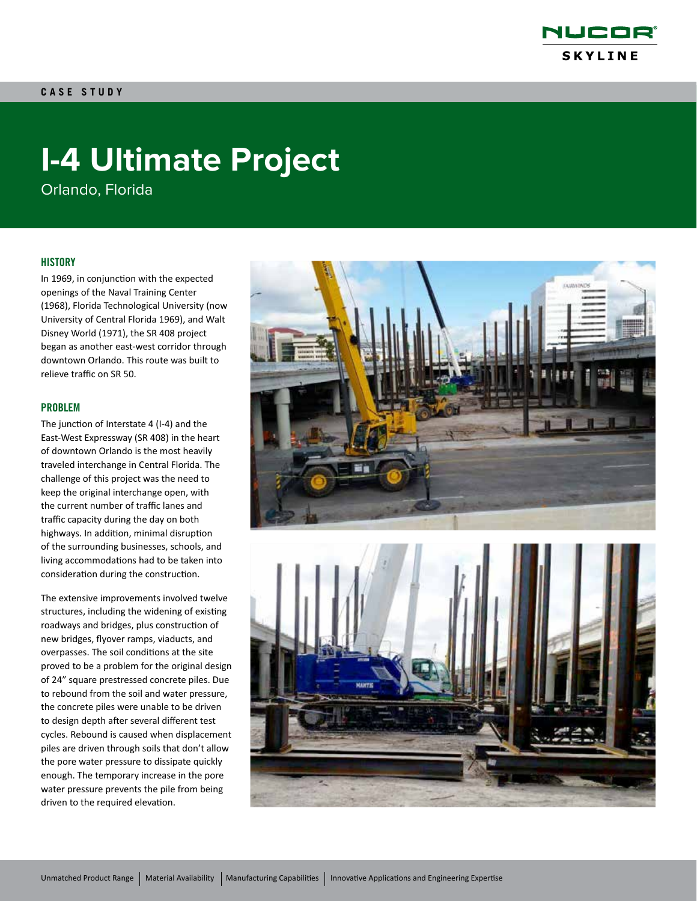

# **I-4 Ultimate Project**

Orlando, Florida

### **HISTORY**

In 1969, in conjunction with the expected openings of the Naval Training Center (1968), Florida Technological University (now University of Central Florida 1969), and Walt Disney World (1971), the SR 408 project began as another east-west corridor through downtown Orlando. This route was built to relieve traffic on SR 50.

### PROBLEM

The junction of Interstate 4 (I-4) and the East-West Expressway (SR 408) in the heart of downtown Orlando is the most heavily traveled interchange in Central Florida. The challenge of this project was the need to keep the original interchange open, with the current number of traffic lanes and traffic capacity during the day on both highways. In addition, minimal disruption of the surrounding businesses, schools, and living accommodations had to be taken into consideration during the construction.

The extensive improvements involved twelve structures, including the widening of existing roadways and bridges, plus construction of new bridges, flyover ramps, viaducts, and overpasses. The soil conditions at the site proved to be a problem for the original design of 24" square prestressed concrete piles. Due to rebound from the soil and water pressure, the concrete piles were unable to be driven to design depth after several different test cycles. Rebound is caused when displacement piles are driven through soils that don't allow the pore water pressure to dissipate quickly enough. The temporary increase in the pore water pressure prevents the pile from being driven to the required elevation.